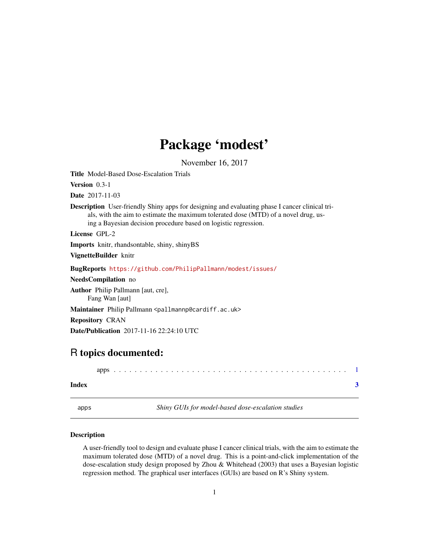## Package 'modest'

November 16, 2017

<span id="page-0-0"></span>Title Model-Based Dose-Escalation Trials Version 0.3-1 Date 2017-11-03 Description User-friendly Shiny apps for designing and evaluating phase I cancer clinical trials, with the aim to estimate the maximum tolerated dose (MTD) of a novel drug, using a Bayesian decision procedure based on logistic regression. License GPL-2 Imports knitr, rhandsontable, shiny, shinyBS VignetteBuilder knitr BugReports <https://github.com/PhilipPallmann/modest/issues/> NeedsCompilation no Author Philip Pallmann [aut, cre], Fang Wan [aut] Maintainer Philip Pallmann <pallmannp@cardiff.ac.uk> Repository CRAN Date/Publication 2017-11-16 22:24:10 UTC

### R topics documented:

apps . . . . . . . . . . . . . . . . . . . . . . . . . . . . . . . . . . . . . . . . . . . . . [1](#page-0-0)

#### **Index** [3](#page-2-0)

| . .<br>× |  | ., |
|----------|--|----|

s **Shiny GUIs for model-based dose-escalation studies** 

#### Description

A user-friendly tool to design and evaluate phase I cancer clinical trials, with the aim to estimate the maximum tolerated dose (MTD) of a novel drug. This is a point-and-click implementation of the dose-escalation study design proposed by Zhou & Whitehead (2003) that uses a Bayesian logistic regression method. The graphical user interfaces (GUIs) are based on R's Shiny system.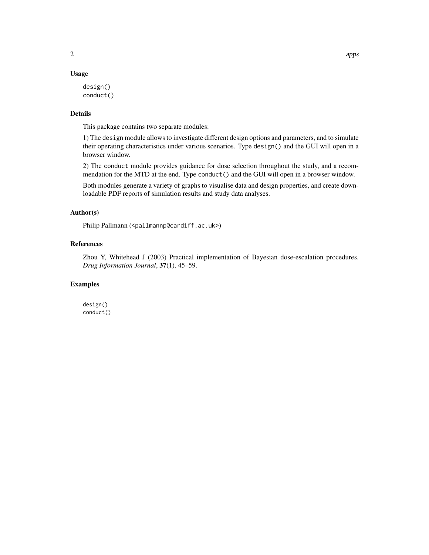#### Usage

```
design()
conduct()
```
#### Details

This package contains two separate modules:

1) The design module allows to investigate different design options and parameters, and to simulate their operating characteristics under various scenarios. Type design() and the GUI will open in a browser window.

2) The conduct module provides guidance for dose selection throughout the study, and a recommendation for the MTD at the end. Type conduct() and the GUI will open in a browser window.

Both modules generate a variety of graphs to visualise data and design properties, and create downloadable PDF reports of simulation results and study data analyses.

#### Author(s)

Philip Pallmann (<pallmannp@cardiff.ac.uk>)

#### References

Zhou Y, Whitehead J (2003) Practical implementation of Bayesian dose-escalation procedures. *Drug Information Journal*, 37(1), 45–59.

#### Examples

design() conduct()